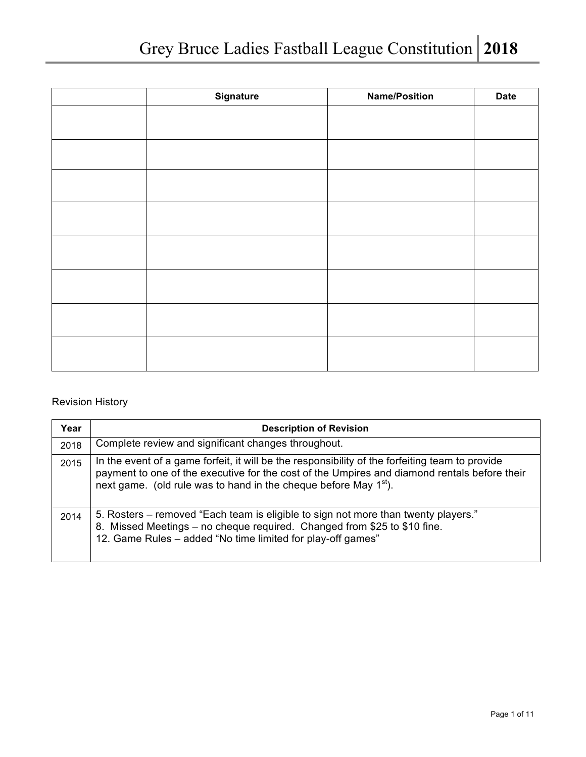| <b>Signature</b> | <b>Name/Position</b> | <b>Date</b> |
|------------------|----------------------|-------------|
|                  |                      |             |
|                  |                      |             |
|                  |                      |             |
|                  |                      |             |
|                  |                      |             |
|                  |                      |             |
|                  |                      |             |
|                  |                      |             |
|                  |                      |             |
|                  |                      |             |
|                  |                      |             |
|                  |                      |             |
|                  |                      |             |

## Revision History

| Year | <b>Description of Revision</b>                                                                                                                                                                                                                                                  |
|------|---------------------------------------------------------------------------------------------------------------------------------------------------------------------------------------------------------------------------------------------------------------------------------|
| 2018 | Complete review and significant changes throughout.                                                                                                                                                                                                                             |
| 2015 | In the event of a game forfeit, it will be the responsibility of the forfeiting team to provide<br>payment to one of the executive for the cost of the Umpires and diamond rentals before their<br>next game. (old rule was to hand in the cheque before May 1 <sup>st</sup> ). |
| 2014 | 5. Rosters – removed "Each team is eligible to sign not more than twenty players."<br>8. Missed Meetings – no cheque required. Changed from \$25 to \$10 fine.<br>12. Game Rules – added "No time limited for play-off games"                                                   |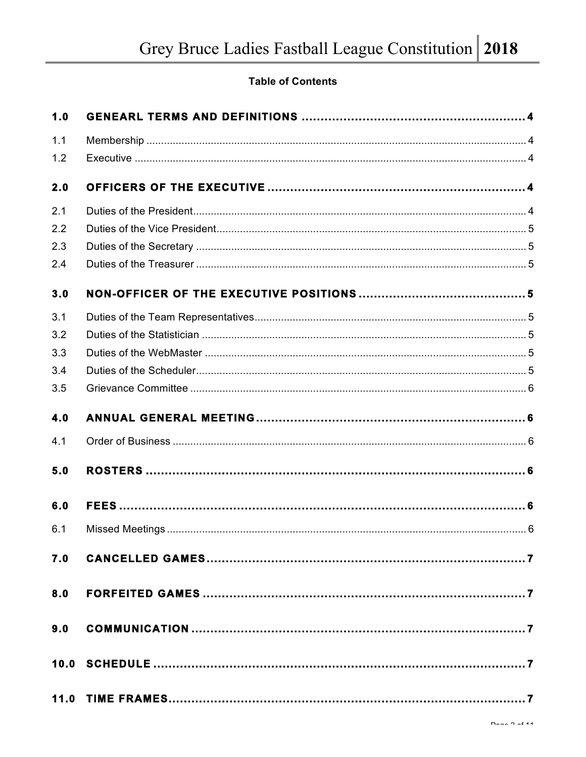## **Table of Contents**

| 1.0 |  |
|-----|--|
| 1.1 |  |
| 1.2 |  |
| 2.0 |  |
| 2.1 |  |
| 2.2 |  |
| 2.3 |  |
| 2.4 |  |
| 3.0 |  |
| 3.1 |  |
| 3.2 |  |
| 3.3 |  |
| 3.4 |  |
| 3.5 |  |
| 4.0 |  |
| 4.1 |  |
| 5.0 |  |
| 6.0 |  |
| 6.1 |  |
|     |  |
|     |  |
|     |  |
|     |  |
|     |  |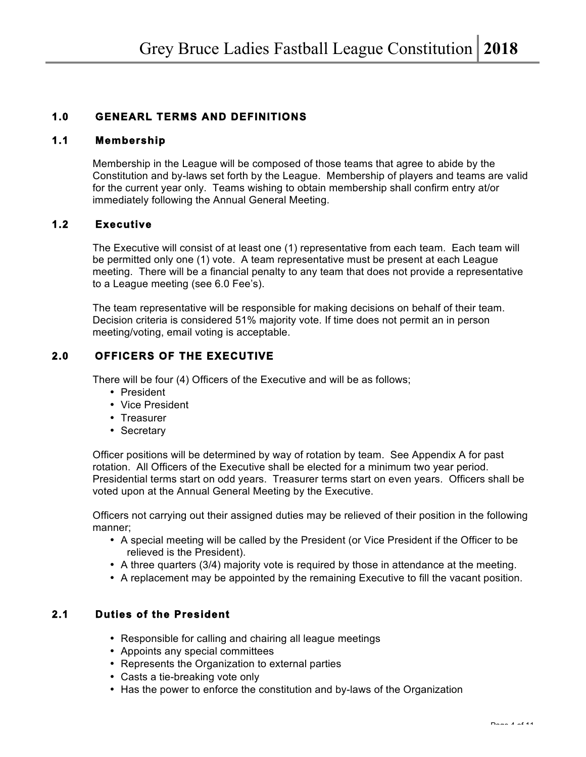## **1.0 GENEARL TERMS AND DEFINITIONS**

#### **1.1 Membership**

Membership in the League will be composed of those teams that agree to abide by the Constitution and by-laws set forth by the League. Membership of players and teams are valid for the current year only. Teams wishing to obtain membership shall confirm entry at/or immediately following the Annual General Meeting.

#### **1.2 Executive**

The Executive will consist of at least one (1) representative from each team. Each team will be permitted only one (1) vote. A team representative must be present at each League meeting. There will be a financial penalty to any team that does not provide a representative to a League meeting (see 6.0 Fee's).

The team representative will be responsible for making decisions on behalf of their team. Decision criteria is considered 51% majority vote. If time does not permit an in person meeting/voting, email voting is acceptable.

#### **2.0 OFFICERS OF THE EXECUTIVE**

There will be four (4) Officers of the Executive and will be as follows;

- President
- Vice President
- Treasurer
- Secretary

Officer positions will be determined by way of rotation by team. See Appendix A for past rotation. All Officers of the Executive shall be elected for a minimum two year period. Presidential terms start on odd years. Treasurer terms start on even years. Officers shall be voted upon at the Annual General Meeting by the Executive.

Officers not carrying out their assigned duties may be relieved of their position in the following manner;

- A special meeting will be called by the President (or Vice President if the Officer to be relieved is the President).
- A three quarters (3/4) majority vote is required by those in attendance at the meeting.
- A replacement may be appointed by the remaining Executive to fill the vacant position.

#### **2.1 Duties of the President**

- Responsible for calling and chairing all league meetings
- Appoints any special committees
- Represents the Organization to external parties
- Casts a tie-breaking vote only
- Has the power to enforce the constitution and by-laws of the Organization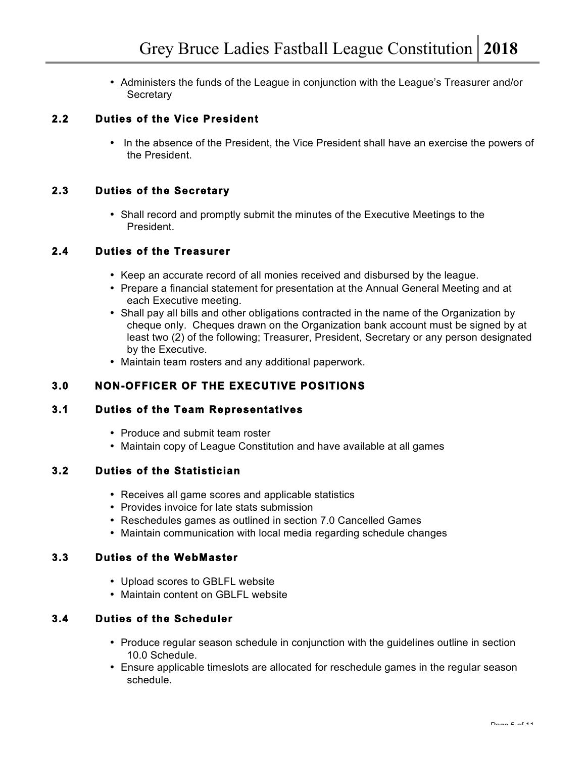• Administers the funds of the League in conjunction with the League's Treasurer and/or **Secretary** 

#### **2.2 Duties of the Vice President**

• In the absence of the President, the Vice President shall have an exercise the powers of the President.

#### **2.3 Duties of the Secretary**

• Shall record and promptly submit the minutes of the Executive Meetings to the President.

#### **2.4 Duties of the Treasurer**

- Keep an accurate record of all monies received and disbursed by the league.
- Prepare a financial statement for presentation at the Annual General Meeting and at each Executive meeting.
- Shall pay all bills and other obligations contracted in the name of the Organization by cheque only. Cheques drawn on the Organization bank account must be signed by at least two (2) of the following; Treasurer, President, Secretary or any person designated by the Executive.
- Maintain team rosters and any additional paperwork.

### **3.0 NON-OFFICER OF THE EXECUTIVE POSITIONS**

#### **3.1 Duties of the Team Representatives**

- Produce and submit team roster
- Maintain copy of League Constitution and have available at all games

#### **3.2 Duties of the Statistician**

- Receives all game scores and applicable statistics
- Provides invoice for late stats submission
- Reschedules games as outlined in section 7.0 Cancelled Games
- Maintain communication with local media regarding schedule changes

#### **3.3 Duties of the WebMaster**

- Upload scores to GBLFL website
- Maintain content on GBLFL website

#### **3.4 Duties of the Scheduler**

- Produce regular season schedule in conjunction with the guidelines outline in section 10.0 Schedule.
- Ensure applicable timeslots are allocated for reschedule games in the regular season schedule.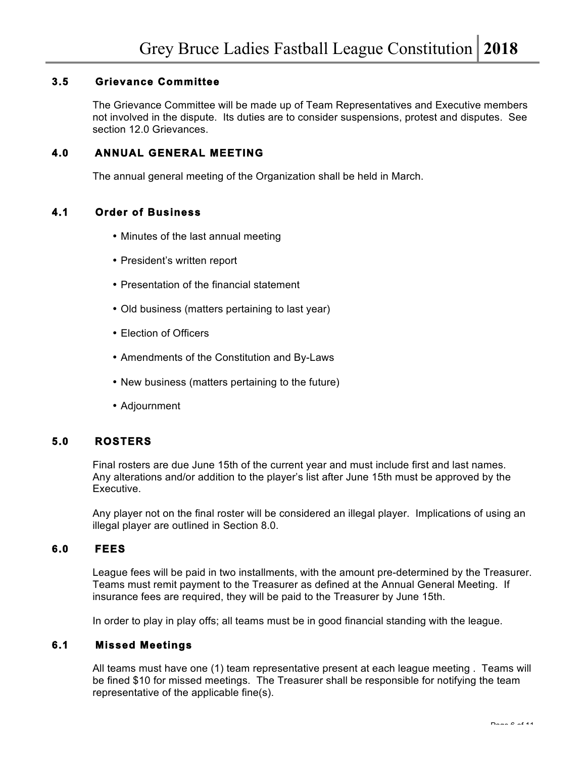#### **3.5 Grievance Committee**

The Grievance Committee will be made up of Team Representatives and Executive members not involved in the dispute. Its duties are to consider suspensions, protest and disputes. See section 12.0 Grievances.

#### **4.0 ANNUAL GENERAL MEETING**

The annual general meeting of the Organization shall be held in March.

#### **4.1 Order of Business**

- Minutes of the last annual meeting
- President's written report
- Presentation of the financial statement
- Old business (matters pertaining to last year)
- Election of Officers
- Amendments of the Constitution and By-Laws
- New business (matters pertaining to the future)
- Adjournment

#### **5.0 ROSTERS**

Final rosters are due June 15th of the current year and must include first and last names. Any alterations and/or addition to the player's list after June 15th must be approved by the Executive.

Any player not on the final roster will be considered an illegal player. Implications of using an illegal player are outlined in Section 8.0.

#### **6.0 FEES**

League fees will be paid in two installments, with the amount pre-determined by the Treasurer. Teams must remit payment to the Treasurer as defined at the Annual General Meeting. If insurance fees are required, they will be paid to the Treasurer by June 15th.

In order to play in play offs; all teams must be in good financial standing with the league.

#### **6.1 Missed Meetings**

All teams must have one (1) team representative present at each league meeting . Teams will be fined \$10 for missed meetings. The Treasurer shall be responsible for notifying the team representative of the applicable fine(s).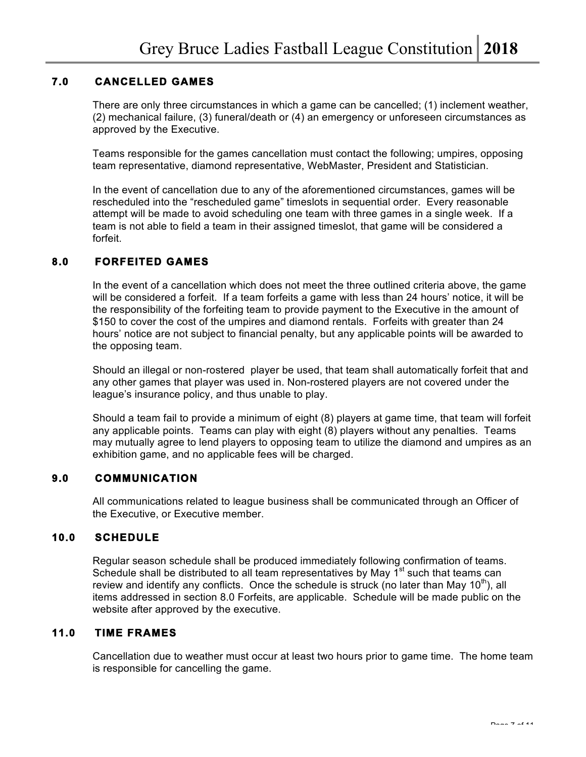#### **7.0 CANCELLED GAMES**

There are only three circumstances in which a game can be cancelled; (1) inclement weather, (2) mechanical failure, (3) funeral/death or (4) an emergency or unforeseen circumstances as approved by the Executive.

Teams responsible for the games cancellation must contact the following; umpires, opposing team representative, diamond representative, WebMaster, President and Statistician.

In the event of cancellation due to any of the aforementioned circumstances, games will be rescheduled into the "rescheduled game" timeslots in sequential order. Every reasonable attempt will be made to avoid scheduling one team with three games in a single week. If a team is not able to field a team in their assigned timeslot, that game will be considered a forfeit.

#### **8.0 FORFEITED GAMES**

In the event of a cancellation which does not meet the three outlined criteria above, the game will be considered a forfeit. If a team forfeits a game with less than 24 hours' notice, it will be the responsibility of the forfeiting team to provide payment to the Executive in the amount of \$150 to cover the cost of the umpires and diamond rentals. Forfeits with greater than 24 hours' notice are not subject to financial penalty, but any applicable points will be awarded to the opposing team.

Should an illegal or non-rostered player be used, that team shall automatically forfeit that and any other games that player was used in. Non-rostered players are not covered under the league's insurance policy, and thus unable to play.

Should a team fail to provide a minimum of eight (8) players at game time, that team will forfeit any applicable points. Teams can play with eight (8) players without any penalties. Teams may mutually agree to lend players to opposing team to utilize the diamond and umpires as an exhibition game, and no applicable fees will be charged.

#### **9.0 COMMUNICATION**

All communications related to league business shall be communicated through an Officer of the Executive, or Executive member.

#### **10.0 SCHEDULE**

Regular season schedule shall be produced immediately following confirmation of teams. Schedule shall be distributed to all team representatives by May  $1<sup>st</sup>$  such that teams can review and identify any conflicts. Once the schedule is struck (no later than May  $10<sup>th</sup>$ ), all items addressed in section 8.0 Forfeits, are applicable. Schedule will be made public on the website after approved by the executive.

#### **11.0 TIME FRAMES**

Cancellation due to weather must occur at least two hours prior to game time. The home team is responsible for cancelling the game.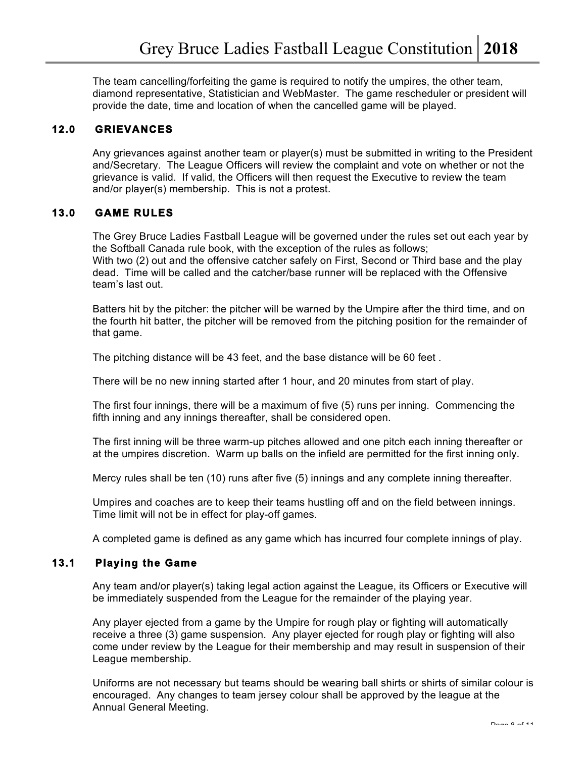The team cancelling/forfeiting the game is required to notify the umpires, the other team, diamond representative, Statistician and WebMaster. The game rescheduler or president will provide the date, time and location of when the cancelled game will be played.

#### **12.0 GRIEVANCES**

Any grievances against another team or player(s) must be submitted in writing to the President and/Secretary. The League Officers will review the complaint and vote on whether or not the grievance is valid. If valid, the Officers will then request the Executive to review the team and/or player(s) membership. This is not a protest.

#### **13.0 GAME RULES**

The Grey Bruce Ladies Fastball League will be governed under the rules set out each year by the Softball Canada rule book, with the exception of the rules as follows; With two (2) out and the offensive catcher safely on First, Second or Third base and the play dead. Time will be called and the catcher/base runner will be replaced with the Offensive team's last out.

Batters hit by the pitcher: the pitcher will be warned by the Umpire after the third time, and on the fourth hit batter, the pitcher will be removed from the pitching position for the remainder of that game.

The pitching distance will be 43 feet, and the base distance will be 60 feet .

There will be no new inning started after 1 hour, and 20 minutes from start of play.

The first four innings, there will be a maximum of five (5) runs per inning. Commencing the fifth inning and any innings thereafter, shall be considered open.

The first inning will be three warm-up pitches allowed and one pitch each inning thereafter or at the umpires discretion. Warm up balls on the infield are permitted for the first inning only.

Mercy rules shall be ten (10) runs after five (5) innings and any complete inning thereafter.

Umpires and coaches are to keep their teams hustling off and on the field between innings. Time limit will not be in effect for play-off games.

A completed game is defined as any game which has incurred four complete innings of play.

#### **13.1 Playing the Game**

Any team and/or player(s) taking legal action against the League, its Officers or Executive will be immediately suspended from the League for the remainder of the playing year.

Any player ejected from a game by the Umpire for rough play or fighting will automatically receive a three (3) game suspension. Any player ejected for rough play or fighting will also come under review by the League for their membership and may result in suspension of their League membership.

Uniforms are not necessary but teams should be wearing ball shirts or shirts of similar colour is encouraged. Any changes to team jersey colour shall be approved by the league at the Annual General Meeting.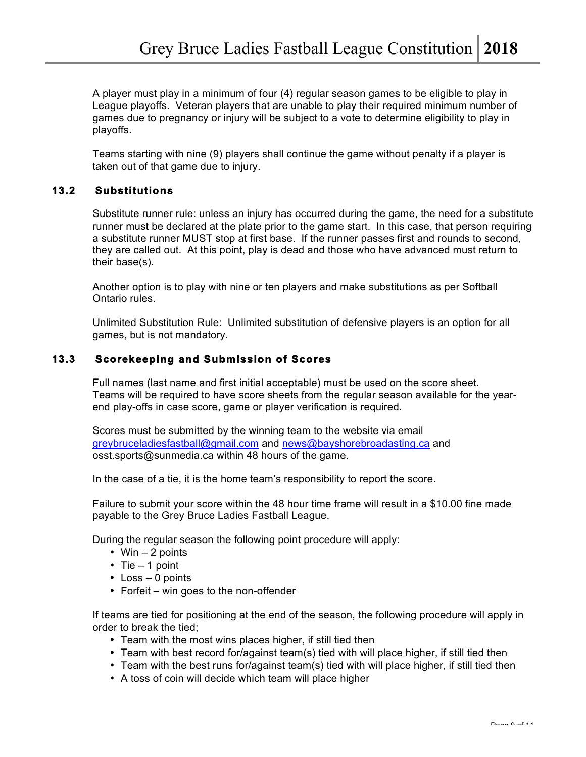A player must play in a minimum of four (4) regular season games to be eligible to play in League playoffs. Veteran players that are unable to play their required minimum number of games due to pregnancy or injury will be subject to a vote to determine eligibility to play in playoffs.

Teams starting with nine (9) players shall continue the game without penalty if a player is taken out of that game due to injury.

#### **13.2 Substitutions**

Substitute runner rule: unless an injury has occurred during the game, the need for a substitute runner must be declared at the plate prior to the game start. In this case, that person requiring a substitute runner MUST stop at first base. If the runner passes first and rounds to second, they are called out. At this point, play is dead and those who have advanced must return to their base(s).

Another option is to play with nine or ten players and make substitutions as per Softball Ontario rules.

Unlimited Substitution Rule: Unlimited substitution of defensive players is an option for all games, but is not mandatory.

#### **13.3 Scorekeeping and Submission of Scores**

Full names (last name and first initial acceptable) must be used on the score sheet. Teams will be required to have score sheets from the regular season available for the yearend play-offs in case score, game or player verification is required.

Scores must be submitted by the winning team to the website via email greybruceladiesfastball@gmail.com and news@bayshorebroadasting.ca and osst.sports@sunmedia.ca within 48 hours of the game.

In the case of a tie, it is the home team's responsibility to report the score.

Failure to submit your score within the 48 hour time frame will result in a \$10.00 fine made payable to the Grey Bruce Ladies Fastball League.

During the regular season the following point procedure will apply:

- Win 2 points
- Tie  $-1$  point
- Loss 0 points
- Forfeit win goes to the non-offender

If teams are tied for positioning at the end of the season, the following procedure will apply in order to break the tied;

- Team with the most wins places higher, if still tied then
- Team with best record for/against team(s) tied with will place higher, if still tied then
- Team with the best runs for/against team(s) tied with will place higher, if still tied then
- A toss of coin will decide which team will place higher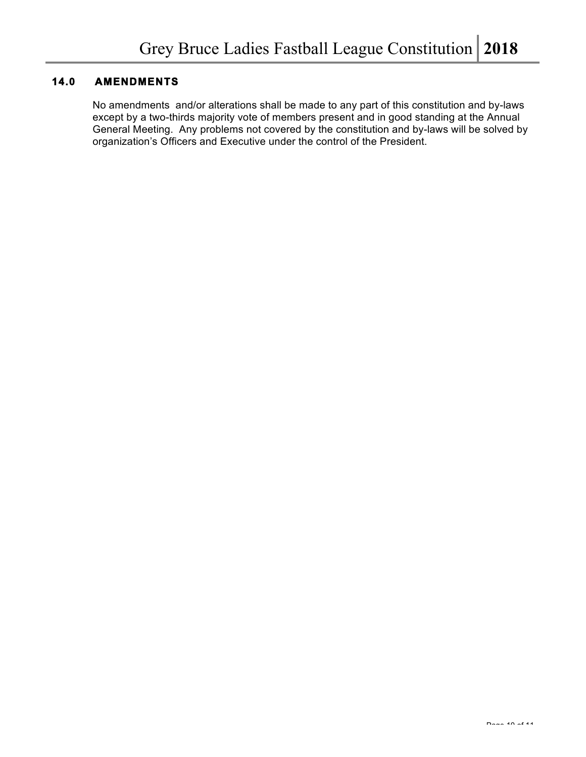## **14.0 AMENDMENTS**

No amendments and/or alterations shall be made to any part of this constitution and by-laws except by a two-thirds majority vote of members present and in good standing at the Annual General Meeting. Any problems not covered by the constitution and by-laws will be solved by organization's Officers and Executive under the control of the President.